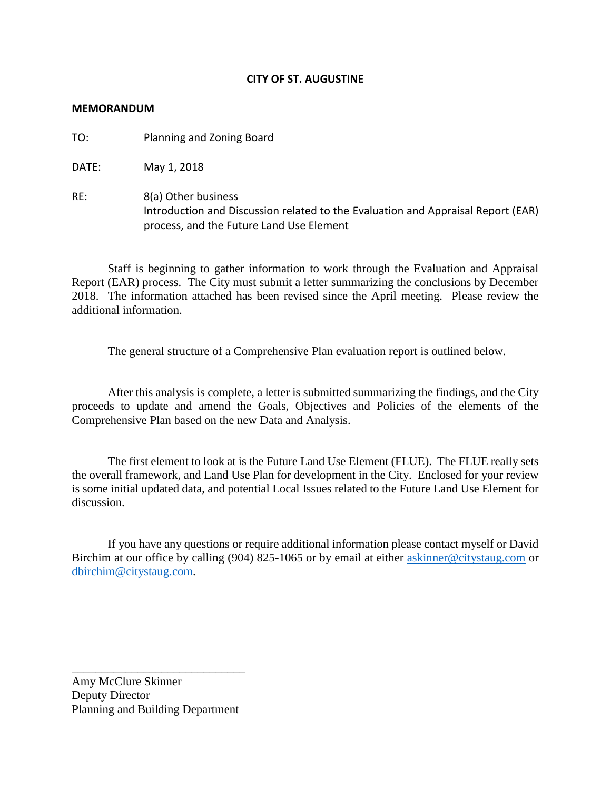#### **CITY OF ST. AUGUSTINE**

#### **MEMORANDUM**

TO: Planning and Zoning Board

DATE: May 1, 2018

RE: 8(a) Other business Introduction and Discussion related to the Evaluation and Appraisal Report (EAR) process, and the Future Land Use Element

Staff is beginning to gather information to work through the Evaluation and Appraisal Report (EAR) process. The City must submit a letter summarizing the conclusions by December 2018. The information attached has been revised since the April meeting. Please review the additional information.

The general structure of a Comprehensive Plan evaluation report is outlined below.

After this analysis is complete, a letter is submitted summarizing the findings, and the City proceeds to update and amend the Goals, Objectives and Policies of the elements of the Comprehensive Plan based on the new Data and Analysis.

The first element to look at is the Future Land Use Element (FLUE). The FLUE really sets the overall framework, and Land Use Plan for development in the City. Enclosed for your review is some initial updated data, and potential Local Issues related to the Future Land Use Element for discussion.

If you have any questions or require additional information please contact myself or David Birchim at our office by calling (904) 825-1065 or by email at either [askinner@citystaug.com](mailto:askinner@citystaug.com) or [dbirchim@citystaug.com.](mailto:dbirchim@citystaug.com)

Amy McClure Skinner Deputy Director Planning and Building Department

\_\_\_\_\_\_\_\_\_\_\_\_\_\_\_\_\_\_\_\_\_\_\_\_\_\_\_\_\_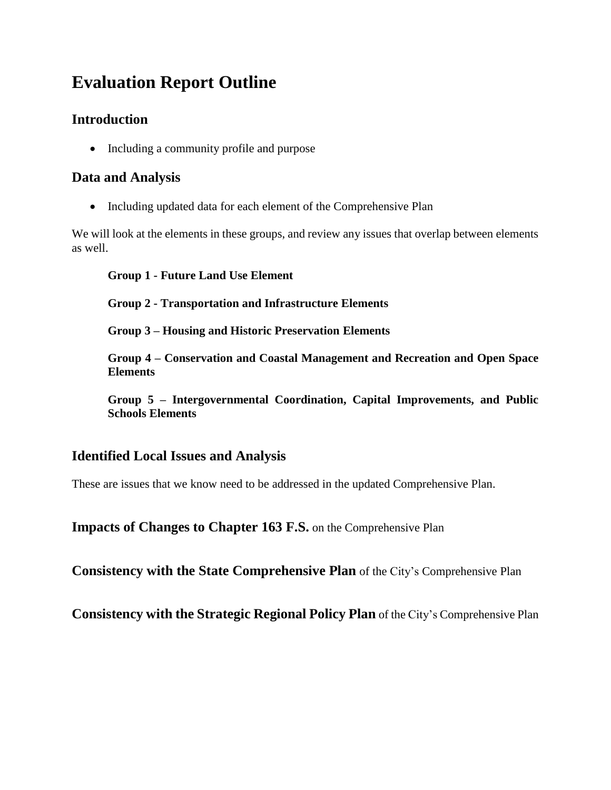## **Evaluation Report Outline**

### **Introduction**

• Including a community profile and purpose

## **Data and Analysis**

• Including updated data for each element of the Comprehensive Plan

We will look at the elements in these groups, and review any issues that overlap between elements as well.

**Group 1 - Future Land Use Element**

**Group 2 - Transportation and Infrastructure Elements**

**Group 3 – Housing and Historic Preservation Elements**

**Group 4 – Conservation and Coastal Management and Recreation and Open Space Elements**

**Group 5 – Intergovernmental Coordination, Capital Improvements, and Public Schools Elements**

#### **Identified Local Issues and Analysis**

These are issues that we know need to be addressed in the updated Comprehensive Plan.

**Impacts of Changes to Chapter 163 F.S.** on the Comprehensive Plan

**Consistency with the State Comprehensive Plan** of the City's Comprehensive Plan

**Consistency with the Strategic Regional Policy Plan** of the City's Comprehensive Plan